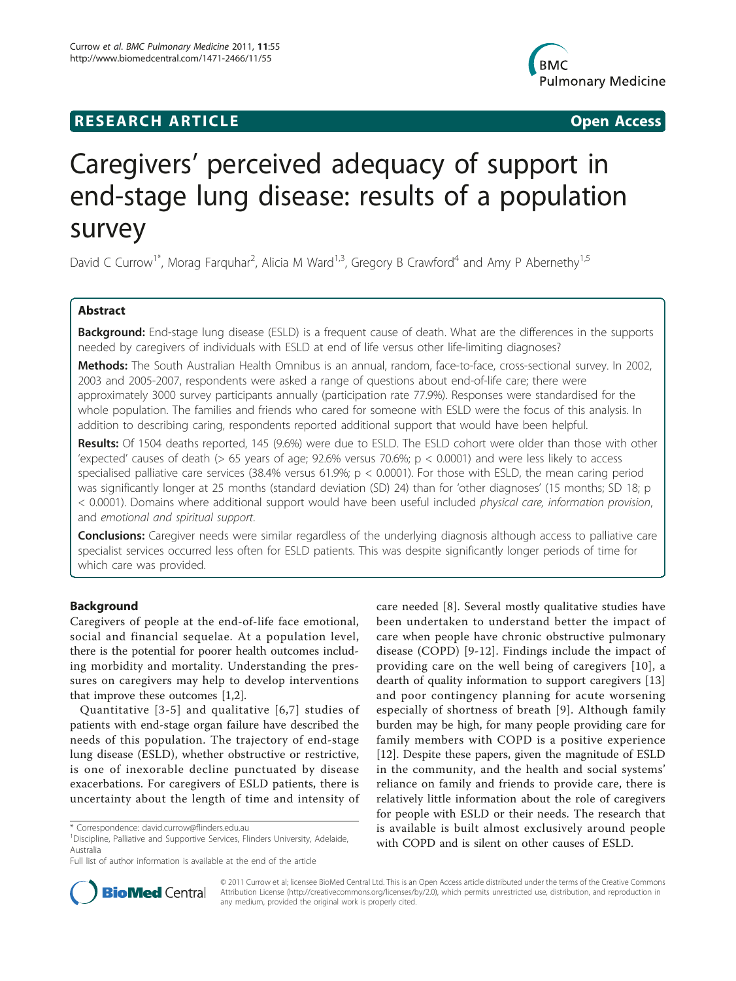## **RESEARCH ARTICLE Example 2018 12:00 Open Access**



# Caregivers' perceived adequacy of support in end-stage lung disease: results of a population survey

David C Currow<sup>1\*</sup>, Morag Farquhar<sup>2</sup>, Alicia M Ward<sup>1,3</sup>, Gregory B Crawford<sup>4</sup> and Amy P Abernethy<sup>1,5</sup>

## Abstract

Background: End-stage lung disease (ESLD) is a frequent cause of death. What are the differences in the supports needed by caregivers of individuals with ESLD at end of life versus other life-limiting diagnoses?

Methods: The South Australian Health Omnibus is an annual, random, face-to-face, cross-sectional survey. In 2002, 2003 and 2005-2007, respondents were asked a range of questions about end-of-life care; there were approximately 3000 survey participants annually (participation rate 77.9%). Responses were standardised for the whole population. The families and friends who cared for someone with ESLD were the focus of this analysis. In addition to describing caring, respondents reported additional support that would have been helpful.

Results: Of 1504 deaths reported, 145 (9.6%) were due to ESLD. The ESLD cohort were older than those with other 'expected' causes of death (> 65 years of age; 92.6% versus 70.6%; p < 0.0001) and were less likely to access specialised palliative care services (38.4% versus 61.9%;  $p < 0.0001$ ). For those with ESLD, the mean caring period was significantly longer at 25 months (standard deviation (SD) 24) than for 'other diagnoses' (15 months; SD 18; p < 0.0001). Domains where additional support would have been useful included physical care, information provision, and emotional and spiritual support.

**Conclusions:** Caregiver needs were similar regardless of the underlying diagnosis although access to palliative care specialist services occurred less often for ESLD patients. This was despite significantly longer periods of time for which care was provided.

## Background

Caregivers of people at the end-of-life face emotional, social and financial sequelae. At a population level, there is the potential for poorer health outcomes including morbidity and mortality. Understanding the pressures on caregivers may help to develop interventions that improve these outcomes [\[1,2](#page-9-0)].

Quantitative [\[3-5](#page-9-0)] and qualitative [[6](#page-9-0),[7](#page-9-0)] studies of patients with end-stage organ failure have described the needs of this population. The trajectory of end-stage lung disease (ESLD), whether obstructive or restrictive, is one of inexorable decline punctuated by disease exacerbations. For caregivers of ESLD patients, there is uncertainty about the length of time and intensity of

care needed [[8\]](#page-9-0). Several mostly qualitative studies have been undertaken to understand better the impact of care when people have chronic obstructive pulmonary disease (COPD) [[9](#page-9-0)-[12](#page-9-0)]. Findings include the impact of providing care on the well being of caregivers [\[10\]](#page-9-0), a dearth of quality information to support caregivers [\[13](#page-9-0)] and poor contingency planning for acute worsening especially of shortness of breath [\[9\]](#page-9-0). Although family burden may be high, for many people providing care for family members with COPD is a positive experience [[12\]](#page-9-0). Despite these papers, given the magnitude of ESLD in the community, and the health and social systems' reliance on family and friends to provide care, there is relatively little information about the role of caregivers for people with ESLD or their needs. The research that is available is built almost exclusively around people with COPD and is silent on other causes of ESLD.



© 2011 Currow et al; licensee BioMed Central Ltd. This is an Open Access article distributed under the terms of the Creative Commons Attribution License [\(http://creativecommons.org/licenses/by/2.0](http://creativecommons.org/licenses/by/2.0)), which permits unrestricted use, distribution, and reproduction in any medium, provided the original work is properly cited.

<sup>\*</sup> Correspondence: [david.currow@flinders.edu.au](mailto:david.currow@flinders.edu.au)

<sup>&</sup>lt;sup>1</sup>Discipline, Palliative and Supportive Services, Flinders University, Adelaide, Australia

Full list of author information is available at the end of the article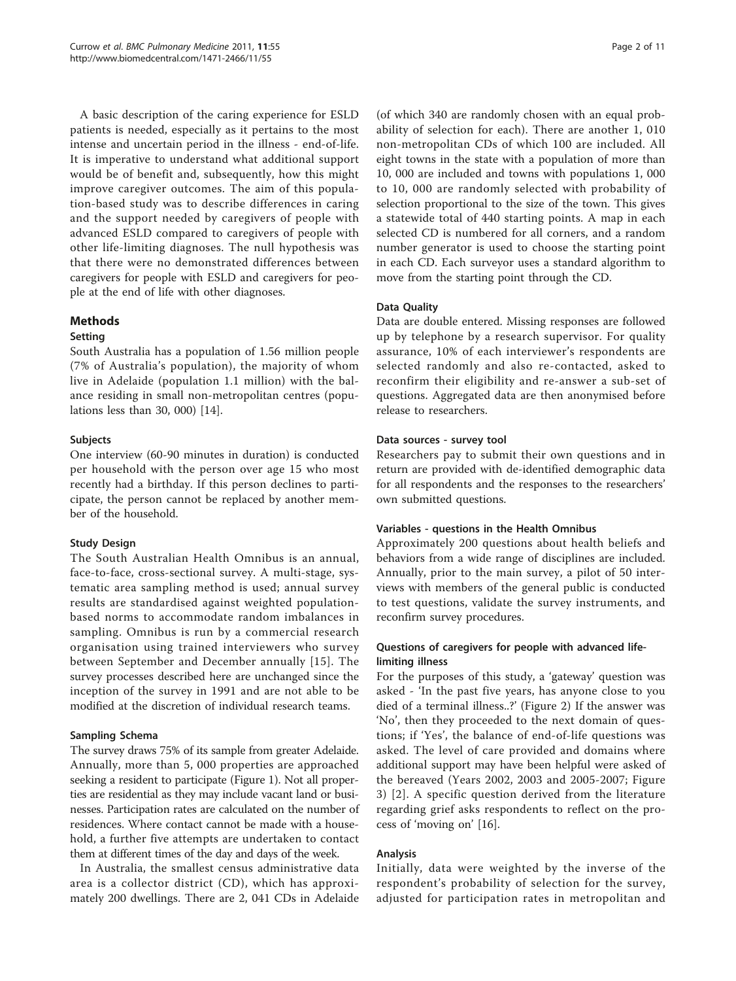A basic description of the caring experience for ESLD patients is needed, especially as it pertains to the most intense and uncertain period in the illness - end-of-life. It is imperative to understand what additional support would be of benefit and, subsequently, how this might improve caregiver outcomes. The aim of this population-based study was to describe differences in caring and the support needed by caregivers of people with advanced ESLD compared to caregivers of people with other life-limiting diagnoses. The null hypothesis was that there were no demonstrated differences between caregivers for people with ESLD and caregivers for people at the end of life with other diagnoses.

## Methods

## Setting

South Australia has a population of 1.56 million people (7% of Australia's population), the majority of whom live in Adelaide (population 1.1 million) with the balance residing in small non-metropolitan centres (populations less than 30, 000) [\[14](#page-9-0)].

## Subjects

One interview (60-90 minutes in duration) is conducted per household with the person over age 15 who most recently had a birthday. If this person declines to participate, the person cannot be replaced by another member of the household.

## Study Design

The South Australian Health Omnibus is an annual, face-to-face, cross-sectional survey. A multi-stage, systematic area sampling method is used; annual survey results are standardised against weighted populationbased norms to accommodate random imbalances in sampling. Omnibus is run by a commercial research organisation using trained interviewers who survey between September and December annually [[15\]](#page-9-0). The survey processes described here are unchanged since the inception of the survey in 1991 and are not able to be modified at the discretion of individual research teams.

## Sampling Schema

The survey draws 75% of its sample from greater Adelaide. Annually, more than 5, 000 properties are approached seeking a resident to participate (Figure [1](#page-2-0)). Not all properties are residential as they may include vacant land or businesses. Participation rates are calculated on the number of residences. Where contact cannot be made with a household, a further five attempts are undertaken to contact them at different times of the day and days of the week.

In Australia, the smallest census administrative data area is a collector district (CD), which has approximately 200 dwellings. There are 2, 041 CDs in Adelaide (of which 340 are randomly chosen with an equal probability of selection for each). There are another 1, 010 non-metropolitan CDs of which 100 are included. All eight towns in the state with a population of more than 10, 000 are included and towns with populations 1, 000 to 10, 000 are randomly selected with probability of selection proportional to the size of the town. This gives a statewide total of 440 starting points. A map in each selected CD is numbered for all corners, and a random number generator is used to choose the starting point in each CD. Each surveyor uses a standard algorithm to move from the starting point through the CD.

#### Data Quality

Data are double entered. Missing responses are followed up by telephone by a research supervisor. For quality assurance, 10% of each interviewer's respondents are selected randomly and also re-contacted, asked to reconfirm their eligibility and re-answer a sub-set of questions. Aggregated data are then anonymised before release to researchers.

#### Data sources - survey tool

Researchers pay to submit their own questions and in return are provided with de-identified demographic data for all respondents and the responses to the researchers' own submitted questions.

### Variables - questions in the Health Omnibus

Approximately 200 questions about health beliefs and behaviors from a wide range of disciplines are included. Annually, prior to the main survey, a pilot of 50 interviews with members of the general public is conducted to test questions, validate the survey instruments, and reconfirm survey procedures.

## Questions of caregivers for people with advanced lifelimiting illness

For the purposes of this study, a 'gateway' question was asked - 'In the past five years, has anyone close to you died of a terminal illness..?' (Figure [2](#page-3-0)) If the answer was 'No', then they proceeded to the next domain of questions; if 'Yes', the balance of end-of-life questions was asked. The level of care provided and domains where additional support may have been helpful were asked of the bereaved (Years 2002, 2003 and 2005-2007; Figure [3\)](#page-4-0) [\[2](#page-9-0)]. A specific question derived from the literature regarding grief asks respondents to reflect on the process of 'moving on' [[16\]](#page-9-0).

#### Analysis

Initially, data were weighted by the inverse of the respondent's probability of selection for the survey, adjusted for participation rates in metropolitan and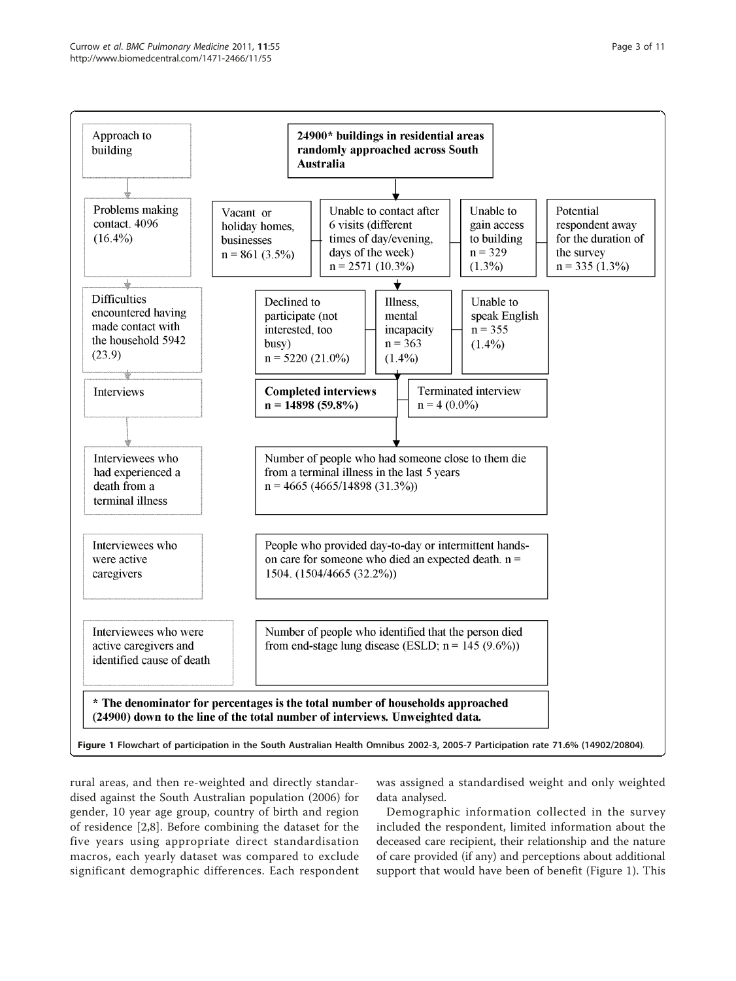<span id="page-2-0"></span>

rural areas, and then re-weighted and directly standardised against the South Australian population (2006) for gender, 10 year age group, country of birth and region of residence [[2,8](#page-9-0)]. Before combining the dataset for the five years using appropriate direct standardisation macros, each yearly dataset was compared to exclude significant demographic differences. Each respondent

was assigned a standardised weight and only weighted data analysed.

Demographic information collected in the survey included the respondent, limited information about the deceased care recipient, their relationship and the nature of care provided (if any) and perceptions about additional support that would have been of benefit (Figure 1). This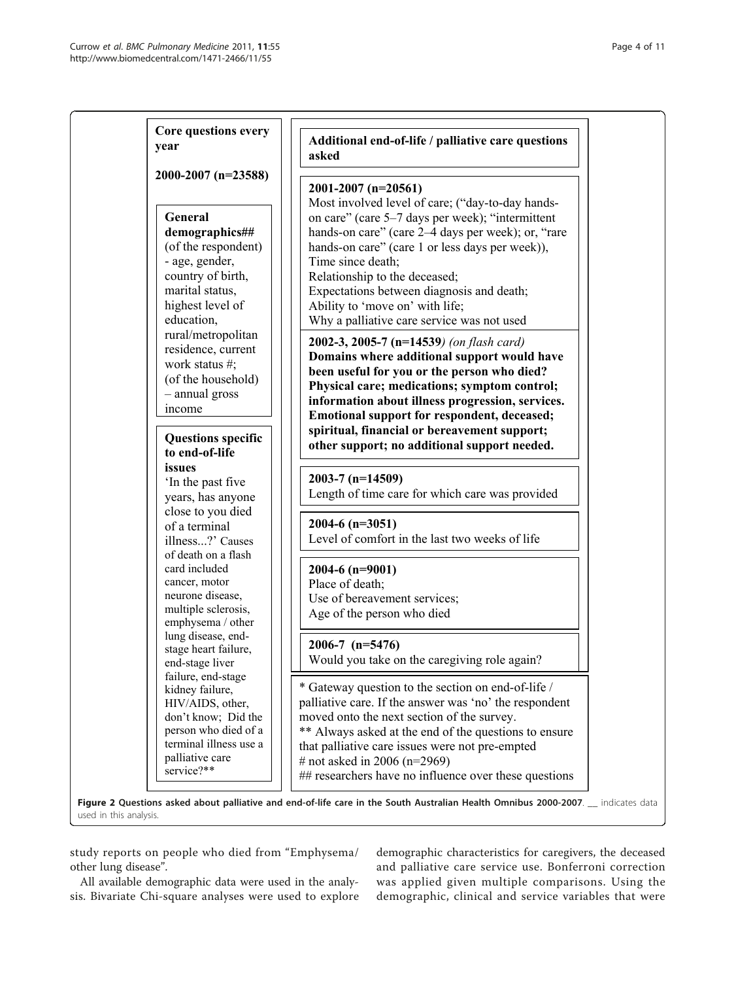<span id="page-3-0"></span>

| Core questions every<br>year                                                                                                                                        | Additional end-of-life / palliative care questions<br>asked                                                                                                                                                                                                                                                                                                     |
|---------------------------------------------------------------------------------------------------------------------------------------------------------------------|-----------------------------------------------------------------------------------------------------------------------------------------------------------------------------------------------------------------------------------------------------------------------------------------------------------------------------------------------------------------|
| 2000-2007 (n=23588)                                                                                                                                                 | $2001-2007$ (n=20561)<br>Most involved level of care; ("day-to-day hands-                                                                                                                                                                                                                                                                                       |
| General<br>demographics##<br>(of the respondent)<br>- age, gender,<br>country of birth,<br>marital status,<br>highest level of<br>education,                        | on care" (care 5–7 days per week); "intermittent<br>hands-on care" (care 2–4 days per week); or, "rare<br>hands-on care" (care 1 or less days per week)),<br>Time since death;<br>Relationship to the deceased;<br>Expectations between diagnosis and death;<br>Ability to 'move on' with life;<br>Why a palliative care service was not used                   |
| rural/metropolitan<br>residence, current<br>work status $#$ ;<br>(of the household)<br>- annual gross<br>income                                                     | 2002-3, 2005-7 $(n=14539)$ (on flash card)<br>Domains where additional support would have<br>been useful for you or the person who died?<br>Physical care; medications; symptom control;<br>information about illness progression, services.<br>Emotional support for respondent, deceased;                                                                     |
| <b>Questions specific</b><br>to end-of-life                                                                                                                         | spiritual, financial or bereavement support;<br>other support; no additional support needed.                                                                                                                                                                                                                                                                    |
| issues<br>'In the past five<br>years, has anyone                                                                                                                    | $2003-7$ (n=14509)<br>Length of time care for which care was provided                                                                                                                                                                                                                                                                                           |
| close to you died<br>of a terminal<br>illness?' Causes                                                                                                              | 2004-6 ( $n=3051$ )<br>Level of comfort in the last two weeks of life                                                                                                                                                                                                                                                                                           |
| of death on a flash<br>card included<br>cancer, motor<br>neurone disease,<br>multiple sclerosis,<br>emphysema / other                                               | $2004-6$ (n=9001)<br>Place of death;<br>Use of bereavement services;<br>Age of the person who died                                                                                                                                                                                                                                                              |
| lung disease, end-<br>stage heart failure,<br>end-stage liver                                                                                                       | $2006 - 7$ (n=5476)<br>Would you take on the caregiving role again?                                                                                                                                                                                                                                                                                             |
| failure, end-stage<br>kidney failure,<br>HIV/AIDS, other,<br>don't know; Did the<br>person who died of a<br>terminal illness use a<br>palliative care<br>service?** | * Gateway question to the section on end-of-life /<br>palliative care. If the answer was 'no' the respondent<br>moved onto the next section of the survey.<br>** Always asked at the end of the questions to ensure<br>that palliative care issues were not pre-empted<br># not asked in 2006 (n=2969)<br>## researchers have no influence over these questions |

study reports on people who died from "Emphysema/ other lung disease".

All available demographic data were used in the analysis. Bivariate Chi-square analyses were used to explore demographic characteristics for caregivers, the deceased and palliative care service use. Bonferroni correction was applied given multiple comparisons. Using the demographic, clinical and service variables that were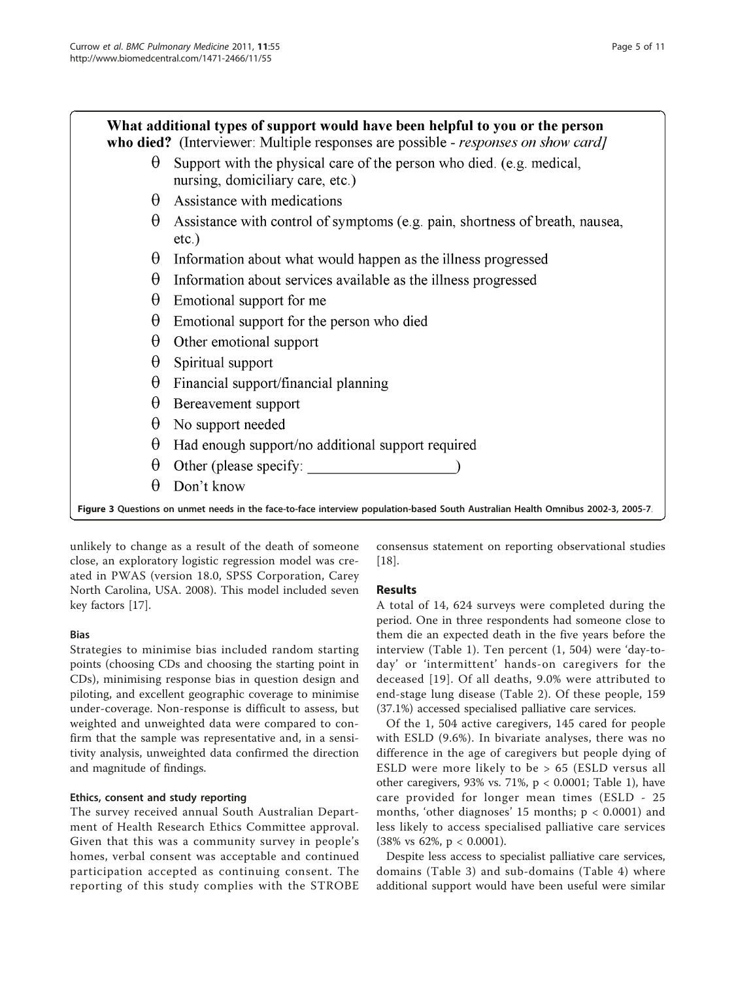<span id="page-4-0"></span>What additional types of support would have been helpful to you or the person who died? (Interviewer: Multiple responses are possible - *responses on show card)*  $\theta$  Support with the physical care of the person who died. (e.g. medical.) nursing, domiciliary care, etc.)  $\theta$  Assistance with medications  $\theta$  Assistance with control of symptoms (e.g. pain, shortness of breath, nausea,  $etc.$ )  $\theta$  Information about what would happen as the illness progressed  $\theta$  Information about services available as the illness progressed  $\theta$  Emotional support for me  $\theta$  Emotional support for the person who died  $\theta$  Other emotional support  $\theta$  Spiritual support  $\theta$  Financial support/financial planning  $\theta$  Bereavement support  $\theta$  No support needed  $\theta$  Had enough support/no additional support required  $\theta$  Other (please specify:

 $\theta$ Don't know

Figure 3 Questions on unmet needs in the face-to-face interview population-based South Australian Health Omnibus 2002-3, 2005-7.

unlikely to change as a result of the death of someone close, an exploratory logistic regression model was created in PWAS (version 18.0, SPSS Corporation, Carey North Carolina, USA. 2008). This model included seven key factors [\[17\]](#page-9-0).

## Bias

Strategies to minimise bias included random starting points (choosing CDs and choosing the starting point in CDs), minimising response bias in question design and piloting, and excellent geographic coverage to minimise under-coverage. Non-response is difficult to assess, but weighted and unweighted data were compared to confirm that the sample was representative and, in a sensitivity analysis, unweighted data confirmed the direction and magnitude of findings.

## Ethics, consent and study reporting

The survey received annual South Australian Department of Health Research Ethics Committee approval. Given that this was a community survey in people's homes, verbal consent was acceptable and continued participation accepted as continuing consent. The reporting of this study complies with the STROBE

consensus statement on reporting observational studies [[18\]](#page-9-0).

## Results

A total of 14, 624 surveys were completed during the period. One in three respondents had someone close to them die an expected death in the five years before the interview (Table [1\)](#page-5-0). Ten percent (1, 504) were 'day-today' or 'intermittent' hands-on caregivers for the deceased [[19](#page-9-0)]. Of all deaths, 9.0% were attributed to end-stage lung disease (Table [2\)](#page-6-0). Of these people, 159 (37.1%) accessed specialised palliative care services.

Of the 1, 504 active caregivers, 145 cared for people with ESLD (9.6%). In bivariate analyses, there was no difference in the age of caregivers but people dying of ESLD were more likely to be > 65 (ESLD versus all other caregivers, 93% vs. 71%,  $p < 0.0001$ ; Table [1](#page-5-0)), have care provided for longer mean times (ESLD - 25 months, 'other diagnoses' 15 months;  $p < 0.0001$ ) and less likely to access specialised palliative care services (38% vs 62%, p < 0.0001).

Despite less access to specialist palliative care services, domains (Table [3](#page-6-0)) and sub-domains (Table [4\)](#page-7-0) where additional support would have been useful were similar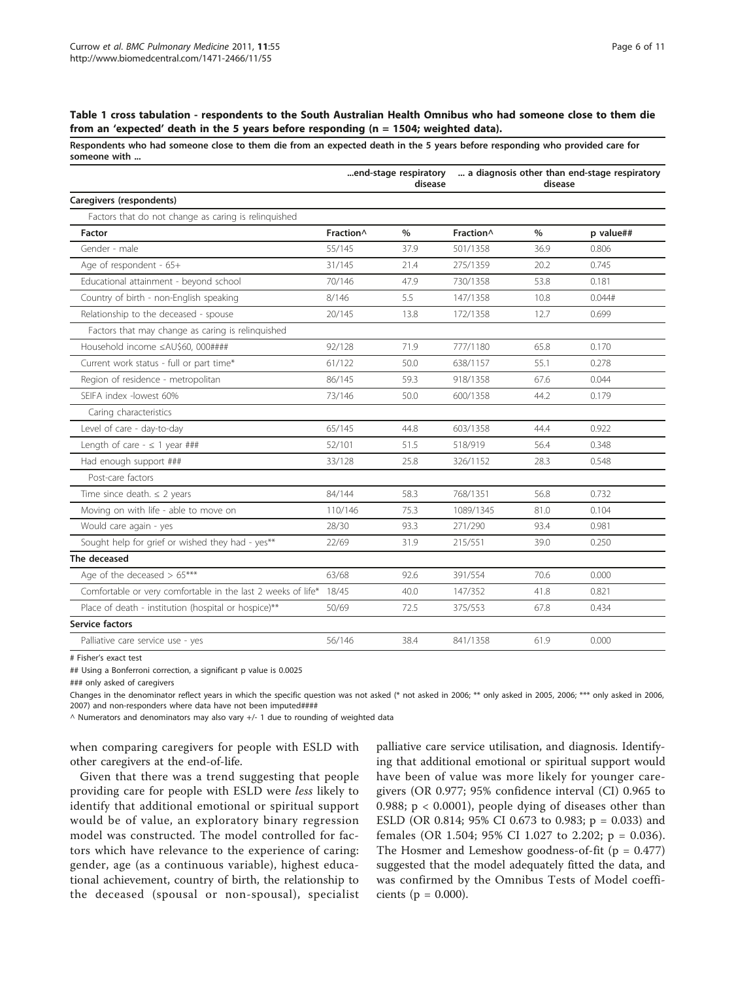## <span id="page-5-0"></span>Table 1 cross tabulation - respondents to the South Australian Health Omnibus who had someone close to them die from an 'expected' death in the 5 years before responding (n = 1504; weighted data).

Respondents who had someone close to them die from an expected death in the 5 years before responding who provided care for someone with ...

|                                                                    | end-stage respiratory<br>disease |      | a diagnosis other than end-stage respiratory<br>disease |      |           |  |
|--------------------------------------------------------------------|----------------------------------|------|---------------------------------------------------------|------|-----------|--|
| Caregivers (respondents)                                           |                                  |      |                                                         |      |           |  |
| Factors that do not change as caring is relinquished               |                                  |      |                                                         |      |           |  |
| Factor                                                             | Fraction <sup>^</sup>            | $\%$ | Fraction^                                               | $\%$ | p value## |  |
| Gender - male                                                      | 55/145                           | 37.9 | 501/1358                                                | 36.9 | 0.806     |  |
| Age of respondent - 65+                                            | 31/145                           | 21.4 | 275/1359                                                | 20.2 | 0.745     |  |
| Educational attainment - beyond school                             | 70/146                           | 47.9 | 730/1358                                                | 53.8 | 0.181     |  |
| Country of birth - non-English speaking                            | 8/146                            | 5.5  | 147/1358                                                | 10.8 | 0.044#    |  |
| Relationship to the deceased - spouse                              | 20/145                           | 13.8 | 172/1358                                                | 12.7 | 0.699     |  |
| Factors that may change as caring is relinguished                  |                                  |      |                                                         |      |           |  |
| Household income ≤AU\$60, 000####                                  | 92/128                           | 71.9 | 777/1180                                                | 65.8 | 0.170     |  |
| Current work status - full or part time*                           | 61/122                           | 50.0 | 638/1157                                                | 55.1 | 0.278     |  |
| Region of residence - metropolitan                                 | 86/145                           | 59.3 | 918/1358                                                | 67.6 | 0.044     |  |
| SEIFA index -lowest 60%                                            | 73/146                           | 50.0 | 600/1358                                                | 44.2 | 0.179     |  |
| Caring characteristics                                             |                                  |      |                                                         |      |           |  |
| Level of care - day-to-day                                         | 65/145                           | 44.8 | 603/1358                                                | 44.4 | 0.922     |  |
| Length of care - $\leq$ 1 year ###                                 | 52/101                           | 51.5 | 518/919                                                 | 56.4 | 0.348     |  |
| Had enough support ###                                             | 33/128                           | 25.8 | 326/1152                                                | 28.3 | 0.548     |  |
| Post-care factors                                                  |                                  |      |                                                         |      |           |  |
| Time since death. $\leq$ 2 years                                   | 84/144                           | 58.3 | 768/1351                                                | 56.8 | 0.732     |  |
| Moving on with life - able to move on                              | 110/146                          | 75.3 | 1089/1345                                               | 81.0 | 0.104     |  |
| Would care again - yes                                             | 28/30                            | 93.3 | 271/290                                                 | 93.4 | 0.981     |  |
| Sought help for grief or wished they had - yes**                   | 22/69                            | 31.9 | 215/551                                                 | 39.0 | 0.250     |  |
| The deceased                                                       |                                  |      |                                                         |      |           |  |
| Age of the deceased $> 65***$                                      | 63/68                            | 92.6 | 391/554                                                 | 70.6 | 0.000     |  |
| Comfortable or very comfortable in the last 2 weeks of life* 18/45 |                                  | 40.0 | 147/352                                                 | 41.8 | 0.821     |  |
| Place of death - institution (hospital or hospice)**               | 50/69                            | 72.5 | 375/553                                                 | 67.8 | 0.434     |  |
| Service factors                                                    |                                  |      |                                                         |      |           |  |
| Palliative care service use - yes                                  | 56/146                           | 38.4 | 841/1358                                                | 61.9 | 0.000     |  |
|                                                                    |                                  |      |                                                         |      |           |  |

# Fisher's exact test

## Using a Bonferroni correction, a significant p value is 0.0025

### only asked of caregivers

Changes in the denominator reflect years in which the specific question was not asked (\* not asked in 2006; \*\* only asked in 2005, 2006; \*\*\* only asked in 2006, 2007) and non-responders where data have not been imputed####

 $\land$  Numerators and denominators may also vary +/- 1 due to rounding of weighted data

when comparing caregivers for people with ESLD with other caregivers at the end-of-life.

Given that there was a trend suggesting that people providing care for people with ESLD were less likely to identify that additional emotional or spiritual support would be of value, an exploratory binary regression model was constructed. The model controlled for factors which have relevance to the experience of caring: gender, age (as a continuous variable), highest educational achievement, country of birth, the relationship to the deceased (spousal or non-spousal), specialist

palliative care service utilisation, and diagnosis. Identifying that additional emotional or spiritual support would have been of value was more likely for younger caregivers (OR 0.977; 95% confidence interval (CI) 0.965 to 0.988; p < 0.0001), people dying of diseases other than ESLD (OR 0.814; 95% CI 0.673 to 0.983; p = 0.033) and females (OR 1.504; 95% CI 1.027 to 2.202; p = 0.036). The Hosmer and Lemeshow goodness-of-fit  $(p = 0.477)$ suggested that the model adequately fitted the data, and was confirmed by the Omnibus Tests of Model coefficients ( $p = 0.000$ ).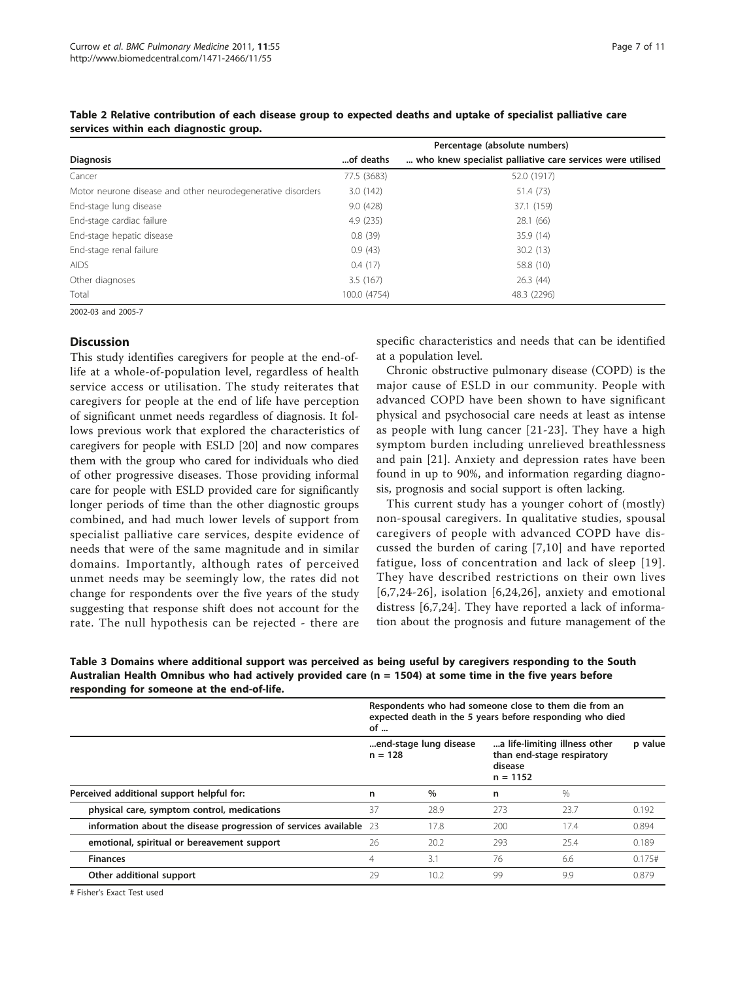|                                                             | Percentage (absolute numbers) |                                                            |  |  |  |  |
|-------------------------------------------------------------|-------------------------------|------------------------------------------------------------|--|--|--|--|
| <b>Diagnosis</b>                                            | of deaths                     | who knew specialist palliative care services were utilised |  |  |  |  |
| Cancer                                                      | 77.5 (3683)                   | 52.0 (1917)                                                |  |  |  |  |
| Motor neurone disease and other neurodegenerative disorders | 3.0(142)                      | 51.4 (73)                                                  |  |  |  |  |
| End-stage lung disease                                      | 9.0(428)                      | 37.1 (159)                                                 |  |  |  |  |
| End-stage cardiac failure                                   | 4.9(235)                      | 28.1(66)                                                   |  |  |  |  |
| End-stage hepatic disease                                   | 0.8(39)                       | 35.9 (14)                                                  |  |  |  |  |
| End-stage renal failure                                     | 0.9(43)                       | 30.2(13)                                                   |  |  |  |  |
| <b>AIDS</b>                                                 | 0.4(17)                       | 58.8 (10)                                                  |  |  |  |  |
| Other diagnoses                                             | 3.5(167)                      | 26.3(44)                                                   |  |  |  |  |
| Total                                                       | 100.0 (4754)                  | 48.3 (2296)                                                |  |  |  |  |

<span id="page-6-0"></span>Table 2 Relative contribution of each disease group to expected deaths and uptake of specialist palliative care services within each diagnostic group.

2002-03 and 2005-7

## **Discussion**

This study identifies caregivers for people at the end-oflife at a whole-of-population level, regardless of health service access or utilisation. The study reiterates that caregivers for people at the end of life have perception of significant unmet needs regardless of diagnosis. It follows previous work that explored the characteristics of caregivers for people with ESLD [\[20](#page-9-0)] and now compares them with the group who cared for individuals who died of other progressive diseases. Those providing informal care for people with ESLD provided care for significantly longer periods of time than the other diagnostic groups combined, and had much lower levels of support from specialist palliative care services, despite evidence of needs that were of the same magnitude and in similar domains. Importantly, although rates of perceived unmet needs may be seemingly low, the rates did not change for respondents over the five years of the study suggesting that response shift does not account for the rate. The null hypothesis can be rejected - there are specific characteristics and needs that can be identified at a population level.

Chronic obstructive pulmonary disease (COPD) is the major cause of ESLD in our community. People with advanced COPD have been shown to have significant physical and psychosocial care needs at least as intense as people with lung cancer [\[21-23\]](#page-9-0). They have a high symptom burden including unrelieved breathlessness and pain [[21\]](#page-9-0). Anxiety and depression rates have been found in up to 90%, and information regarding diagnosis, prognosis and social support is often lacking.

This current study has a younger cohort of (mostly) non-spousal caregivers. In qualitative studies, spousal caregivers of people with advanced COPD have discussed the burden of caring [[7](#page-9-0),[10](#page-9-0)] and have reported fatigue, loss of concentration and lack of sleep [[19\]](#page-9-0). They have described restrictions on their own lives [[6](#page-9-0),[7,24-26\]](#page-9-0), isolation [\[6,24](#page-9-0),[26](#page-9-0)], anxiety and emotional distress [[6,7,24](#page-9-0)]. They have reported a lack of information about the prognosis and future management of the

Table 3 Domains where additional support was perceived as being useful by caregivers responding to the South Australian Health Omnibus who had actively provided care (n = 1504) at some time in the five years before responding for someone at the end-of-life.

|                                                                    | Respondents who had someone close to them die from an<br>expected death in the 5 years before responding who died<br>of $\ldots$ |                                     |     |                                                                                      |        |
|--------------------------------------------------------------------|----------------------------------------------------------------------------------------------------------------------------------|-------------------------------------|-----|--------------------------------------------------------------------------------------|--------|
| Perceived additional support helpful for:                          |                                                                                                                                  | end-stage lung disease<br>$n = 128$ |     | a life-limiting illness other<br>than end-stage respiratory<br>disease<br>$n = 1152$ |        |
|                                                                    |                                                                                                                                  | $\%$                                | n   | $\%$                                                                                 |        |
| physical care, symptom control, medications                        | 37                                                                                                                               | 28.9                                | 273 | 23.7                                                                                 | 0.192  |
| information about the disease progression of services available 23 |                                                                                                                                  | 17.8                                | 200 | 17.4                                                                                 | 0.894  |
| emotional, spiritual or bereavement support                        | 26                                                                                                                               | 20.2                                | 293 | 25.4                                                                                 | 0.189  |
| <b>Finances</b>                                                    | 4                                                                                                                                | 3.1                                 | 76  | 6.6                                                                                  | 0.175# |
| Other additional support                                           | 29                                                                                                                               | 10.2                                | 99  | 9.9                                                                                  | 0.879  |

# Fisher's Exact Test used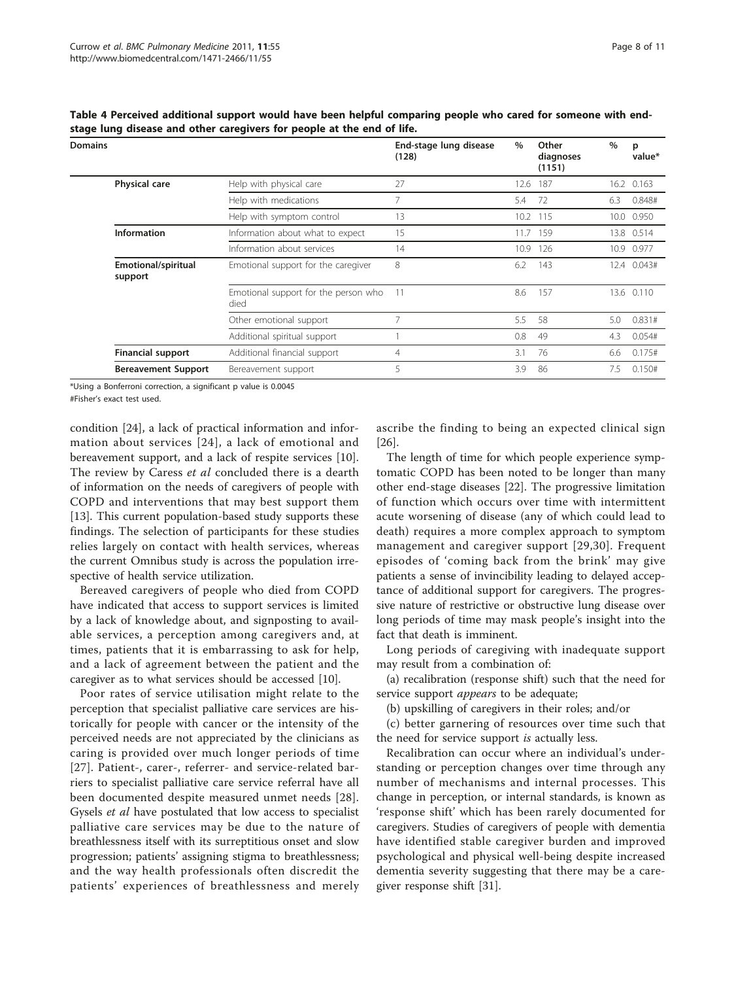| Domains |                                       |                                              | End-stage lung disease<br>(128) | $\%$ | Other<br>diagnoses<br>(1151) | $\%$ | р<br>value* |
|---------|---------------------------------------|----------------------------------------------|---------------------------------|------|------------------------------|------|-------------|
|         | Physical care                         | Help with physical care                      | 27                              | 12.6 | 187                          |      | 16.2 0.163  |
|         |                                       | Help with medications                        | 7                               | 5.4  | 72                           | 6.3  | 0.848#      |
|         |                                       | Help with symptom control                    | 13                              |      | 10.2 115                     |      | 10.0 0.950  |
|         | <b>Information</b>                    | Information about what to expect             | 15                              | 11.7 | 159                          |      | 13.8 0.514  |
|         |                                       | Information about services                   | 14                              | 10.9 | 126                          |      | 10.9 0.977  |
|         | <b>Emotional/spiritual</b><br>support | Emotional support for the caregiver          | 8                               | 6.2  | 143                          |      | 12.4 0.043# |
|         |                                       | Emotional support for the person who<br>died | 11                              | 8.6  | 157                          |      | 13.6 0.110  |
|         |                                       | Other emotional support                      |                                 | 5.5  | -58                          | 5.0  | 0.831#      |
|         |                                       | Additional spiritual support                 |                                 | 0.8  | 49                           | 4.3  | 0.054#      |
|         | <b>Financial support</b>              | Additional financial support                 | 4                               | 3.1  | 76                           | 6.6  | 0.175#      |
|         | <b>Bereavement Support</b>            | Bereavement support                          | 5                               | 3.9  | 86                           | 7.5  | 0.150#      |
|         |                                       |                                              |                                 |      |                              |      |             |

<span id="page-7-0"></span>Table 4 Perceived additional support would have been helpful comparing people who cared for someone with endstage lung disease and other caregivers for people at the end of life.

\*Using a Bonferroni correction, a significant p value is 0.0045

#Fisher's exact test used.

condition [\[24\]](#page-9-0), a lack of practical information and information about services [[24\]](#page-9-0), a lack of emotional and bereavement support, and a lack of respite services [\[10](#page-9-0)]. The review by Caress et al concluded there is a dearth of information on the needs of caregivers of people with COPD and interventions that may best support them [[13\]](#page-9-0). This current population-based study supports these findings. The selection of participants for these studies relies largely on contact with health services, whereas the current Omnibus study is across the population irrespective of health service utilization.

Bereaved caregivers of people who died from COPD have indicated that access to support services is limited by a lack of knowledge about, and signposting to available services, a perception among caregivers and, at times, patients that it is embarrassing to ask for help, and a lack of agreement between the patient and the caregiver as to what services should be accessed [[10\]](#page-9-0).

Poor rates of service utilisation might relate to the perception that specialist palliative care services are historically for people with cancer or the intensity of the perceived needs are not appreciated by the clinicians as caring is provided over much longer periods of time [[27](#page-9-0)]. Patient-, carer-, referrer- and service-related barriers to specialist palliative care service referral have all been documented despite measured unmet needs [[28](#page-9-0)]. Gysels et al have postulated that low access to specialist palliative care services may be due to the nature of breathlessness itself with its surreptitious onset and slow progression; patients' assigning stigma to breathlessness; and the way health professionals often discredit the patients' experiences of breathlessness and merely

ascribe the finding to being an expected clinical sign [[26\]](#page-9-0).

The length of time for which people experience symptomatic COPD has been noted to be longer than many other end-stage diseases [\[22](#page-9-0)]. The progressive limitation of function which occurs over time with intermittent acute worsening of disease (any of which could lead to death) requires a more complex approach to symptom management and caregiver support [[29](#page-9-0),[30](#page-9-0)]. Frequent episodes of 'coming back from the brink' may give patients a sense of invincibility leading to delayed acceptance of additional support for caregivers. The progressive nature of restrictive or obstructive lung disease over long periods of time may mask people's insight into the fact that death is imminent.

Long periods of caregiving with inadequate support may result from a combination of:

(a) recalibration (response shift) such that the need for service support *appears* to be adequate;

(b) upskilling of caregivers in their roles; and/or

(c) better garnering of resources over time such that the need for service support is actually less.

Recalibration can occur where an individual's understanding or perception changes over time through any number of mechanisms and internal processes. This change in perception, or internal standards, is known as 'response shift' which has been rarely documented for caregivers. Studies of caregivers of people with dementia have identified stable caregiver burden and improved psychological and physical well-being despite increased dementia severity suggesting that there may be a caregiver response shift [[31](#page-9-0)].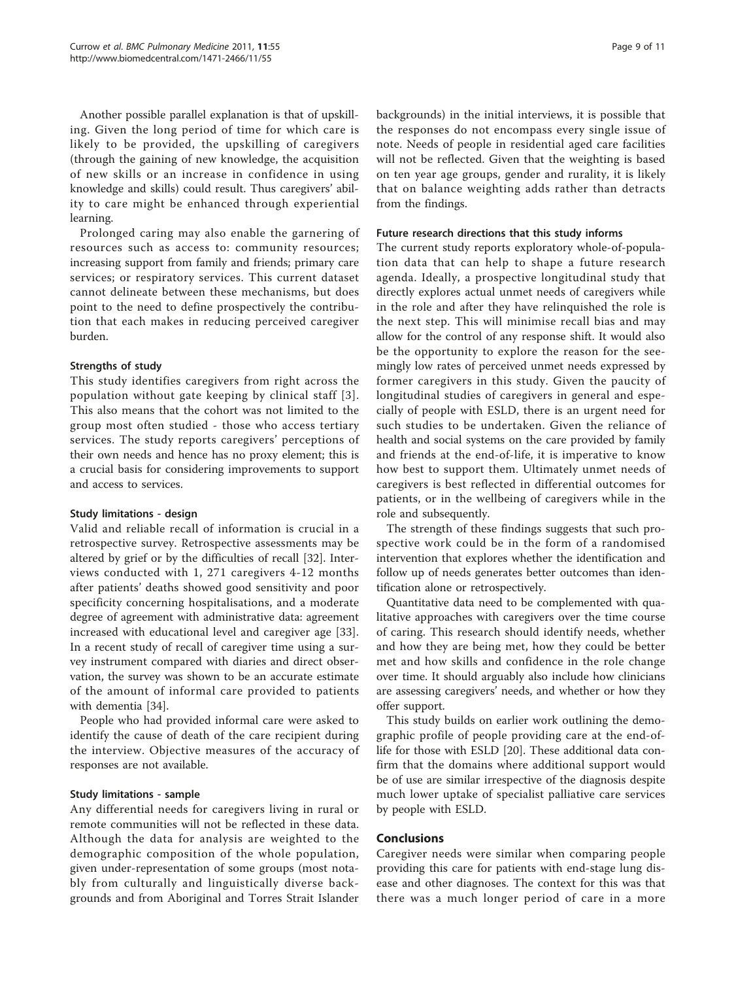Another possible parallel explanation is that of upskilling. Given the long period of time for which care is likely to be provided, the upskilling of caregivers (through the gaining of new knowledge, the acquisition of new skills or an increase in confidence in using knowledge and skills) could result. Thus caregivers' ability to care might be enhanced through experiential learning.

Prolonged caring may also enable the garnering of resources such as access to: community resources; increasing support from family and friends; primary care services; or respiratory services. This current dataset cannot delineate between these mechanisms, but does point to the need to define prospectively the contribution that each makes in reducing perceived caregiver burden.

## Strengths of study

This study identifies caregivers from right across the population without gate keeping by clinical staff [[3\]](#page-9-0). This also means that the cohort was not limited to the group most often studied - those who access tertiary services. The study reports caregivers' perceptions of their own needs and hence has no proxy element; this is a crucial basis for considering improvements to support and access to services.

## Study limitations - design

Valid and reliable recall of information is crucial in a retrospective survey. Retrospective assessments may be altered by grief or by the difficulties of recall [[32](#page-10-0)]. Interviews conducted with 1, 271 caregivers 4-12 months after patients' deaths showed good sensitivity and poor specificity concerning hospitalisations, and a moderate degree of agreement with administrative data: agreement increased with educational level and caregiver age [[33](#page-10-0)]. In a recent study of recall of caregiver time using a survey instrument compared with diaries and direct observation, the survey was shown to be an accurate estimate of the amount of informal care provided to patients with dementia [[34](#page-10-0)].

People who had provided informal care were asked to identify the cause of death of the care recipient during the interview. Objective measures of the accuracy of responses are not available.

### Study limitations - sample

Any differential needs for caregivers living in rural or remote communities will not be reflected in these data. Although the data for analysis are weighted to the demographic composition of the whole population, given under-representation of some groups (most notably from culturally and linguistically diverse backgrounds and from Aboriginal and Torres Strait Islander backgrounds) in the initial interviews, it is possible that the responses do not encompass every single issue of note. Needs of people in residential aged care facilities will not be reflected. Given that the weighting is based on ten year age groups, gender and rurality, it is likely that on balance weighting adds rather than detracts from the findings.

#### Future research directions that this study informs

The current study reports exploratory whole-of-population data that can help to shape a future research agenda. Ideally, a prospective longitudinal study that directly explores actual unmet needs of caregivers while in the role and after they have relinquished the role is the next step. This will minimise recall bias and may allow for the control of any response shift. It would also be the opportunity to explore the reason for the seemingly low rates of perceived unmet needs expressed by former caregivers in this study. Given the paucity of longitudinal studies of caregivers in general and especially of people with ESLD, there is an urgent need for such studies to be undertaken. Given the reliance of health and social systems on the care provided by family and friends at the end-of-life, it is imperative to know how best to support them. Ultimately unmet needs of caregivers is best reflected in differential outcomes for patients, or in the wellbeing of caregivers while in the role and subsequently.

The strength of these findings suggests that such prospective work could be in the form of a randomised intervention that explores whether the identification and follow up of needs generates better outcomes than identification alone or retrospectively.

Quantitative data need to be complemented with qualitative approaches with caregivers over the time course of caring. This research should identify needs, whether and how they are being met, how they could be better met and how skills and confidence in the role change over time. It should arguably also include how clinicians are assessing caregivers' needs, and whether or how they offer support.

This study builds on earlier work outlining the demographic profile of people providing care at the end-oflife for those with ESLD [\[20](#page-9-0)]. These additional data confirm that the domains where additional support would be of use are similar irrespective of the diagnosis despite much lower uptake of specialist palliative care services by people with ESLD.

## Conclusions

Caregiver needs were similar when comparing people providing this care for patients with end-stage lung disease and other diagnoses. The context for this was that there was a much longer period of care in a more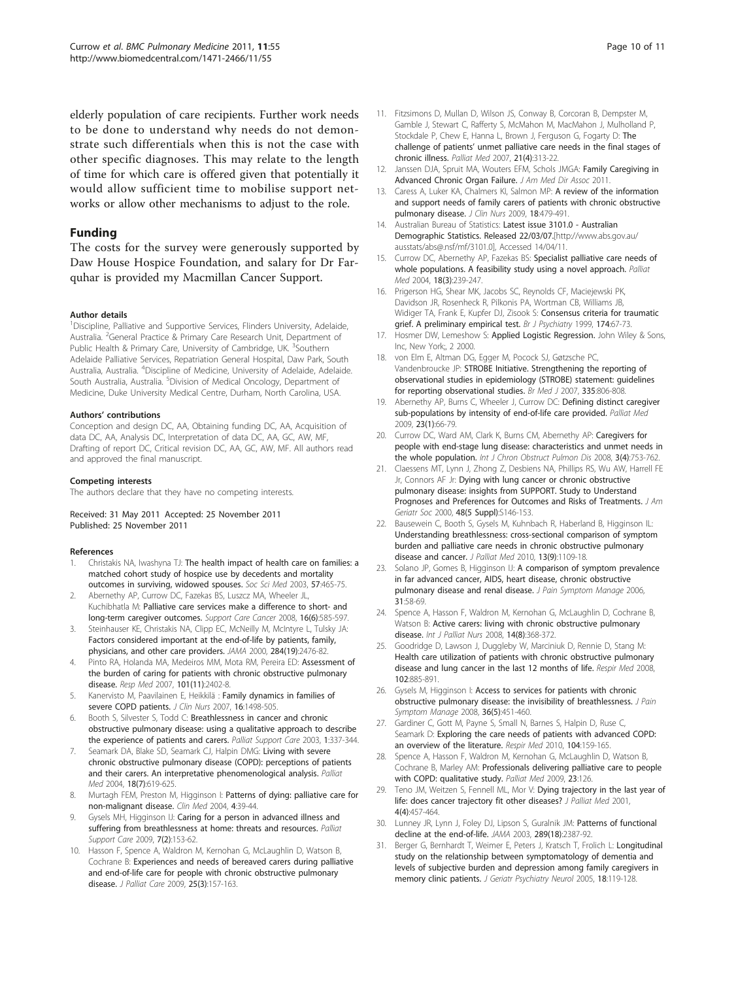<span id="page-9-0"></span>elderly population of care recipients. Further work needs to be done to understand why needs do not demonstrate such differentials when this is not the case with other specific diagnoses. This may relate to the length of time for which care is offered given that potentially it would allow sufficient time to mobilise support networks or allow other mechanisms to adjust to the role.

## Funding

The costs for the survey were generously supported by Daw House Hospice Foundation, and salary for Dr Farquhar is provided my Macmillan Cancer Support.

#### Author details

<sup>1</sup>Discipline, Palliative and Supportive Services, Flinders University, Adelaide, Australia. <sup>2</sup>General Practice & Primary Care Research Unit, Department of Public Health & Primary Care, University of Cambridge, UK. <sup>3</sup>Southern Adelaide Palliative Services, Repatriation General Hospital, Daw Park, South Australia, Australia. <sup>4</sup>Discipline of Medicine, University of Adelaide, Adelaide. South Australia, Australia. <sup>5</sup>Division of Medical Oncology, Department of Medicine, Duke University Medical Centre, Durham, North Carolina, USA.

#### Authors' contributions

Conception and design DC, AA, Obtaining funding DC, AA, Acquisition of data DC, AA, Analysis DC, Interpretation of data DC, AA, GC, AW, MF, Drafting of report DC, Critical revision DC, AA, GC, AW, MF. All authors read and approved the final manuscript.

#### Competing interests

The authors declare that they have no competing interests.

#### Received: 31 May 2011 Accepted: 25 November 2011 Published: 25 November 2011

#### References

- 1. Christakis NA, Iwashyna TJ: [The health impact of health care on families: a](http://www.ncbi.nlm.nih.gov/pubmed/12791489?dopt=Abstract) [matched cohort study of hospice use by decedents and mortality](http://www.ncbi.nlm.nih.gov/pubmed/12791489?dopt=Abstract) [outcomes in surviving, widowed spouses.](http://www.ncbi.nlm.nih.gov/pubmed/12791489?dopt=Abstract) Soc Sci Med 2003, 57:465-75.
- 2. Abernethy AP, Currow DC, Fazekas BS, Luszcz MA, Wheeler JL, Kuchibhatla M: [Palliative care services make a difference to short- and](http://www.ncbi.nlm.nih.gov/pubmed/17960433?dopt=Abstract) [long-term caregiver outcomes.](http://www.ncbi.nlm.nih.gov/pubmed/17960433?dopt=Abstract) Support Care Cancer 2008, 16(6):585-597.
- 3. Steinhauser KE, Christakis NA, Clipp EC, McNeilly M, McIntyre L, Tulsky JA: [Factors considered important at the end-of-life by patients, family,](http://www.ncbi.nlm.nih.gov/pubmed/11074777?dopt=Abstract) [physicians, and other care providers.](http://www.ncbi.nlm.nih.gov/pubmed/11074777?dopt=Abstract) JAMA 2000, 284(19):2476-82.
- Pinto RA, Holanda MA, Medeiros MM, Mota RM, Pereira ED: Assessment of the burden of caring for patients with chronic obstructive pulmonary disease. Resp Med 2007, 101(11):2402-8.
- 5. Kanervisto M, Paavilainen E, Heikkilä : [Family dynamics in families of](http://www.ncbi.nlm.nih.gov/pubmed/17655538?dopt=Abstract) [severe COPD patients.](http://www.ncbi.nlm.nih.gov/pubmed/17655538?dopt=Abstract) J Clin Nurs 2007, 16:1498-505.
- 6. Booth S, Silvester S, Todd C: [Breathlessness in cancer and chronic](http://www.ncbi.nlm.nih.gov/pubmed/16594223?dopt=Abstract) [obstructive pulmonary disease: using a qualitative approach to describe](http://www.ncbi.nlm.nih.gov/pubmed/16594223?dopt=Abstract) [the experience of patients and carers.](http://www.ncbi.nlm.nih.gov/pubmed/16594223?dopt=Abstract) Palliat Support Care 2003, 1:337-344.
- Seamark DA, Blake SD, Seamark CJ, Halpin DMG: [Living with severe](http://www.ncbi.nlm.nih.gov/pubmed/15540670?dopt=Abstract) [chronic obstructive pulmonary disease \(COPD\): perceptions of patients](http://www.ncbi.nlm.nih.gov/pubmed/15540670?dopt=Abstract) [and their carers. An interpretative phenomenological analysis.](http://www.ncbi.nlm.nih.gov/pubmed/15540670?dopt=Abstract) Palliat Med 2004, 18(7):619-625.
- 8. Murtagh FEM, Preston M, Higginson I: [Patterns of dying: palliative care for](http://www.ncbi.nlm.nih.gov/pubmed/14998265?dopt=Abstract) [non-malignant disease.](http://www.ncbi.nlm.nih.gov/pubmed/14998265?dopt=Abstract) Clin Med 2004, 4:39-44.
- Gysels MH, Higginson IJ: [Caring for a person in advanced illness and](http://www.ncbi.nlm.nih.gov/pubmed/19538797?dopt=Abstract) [suffering from breathlessness at home: threats and resources.](http://www.ncbi.nlm.nih.gov/pubmed/19538797?dopt=Abstract) Palliat Support Care 2009, 7(2):153-62.
- 10. Hasson F, Spence A, Waldron M, Kernohan G, McLaughlin D, Watson B, Cochrane B: [Experiences and needs of bereaved carers during palliative](http://www.ncbi.nlm.nih.gov/pubmed/19824276?dopt=Abstract) [and end-of-life care for people with chronic obstructive pulmonary](http://www.ncbi.nlm.nih.gov/pubmed/19824276?dopt=Abstract) [disease.](http://www.ncbi.nlm.nih.gov/pubmed/19824276?dopt=Abstract) J Palliat Care 2009, 25(3):157-163.
- 11. Fitzsimons D, Mullan D, Wilson JS, Conway B, Corcoran B, Dempster M, Gamble J, Stewart C, Rafferty S, McMahon M, MacMahon J, Mulholland P, Stockdale P, Chew E, Hanna L, Brown J, Ferguson G, Fogarty D: [The](http://www.ncbi.nlm.nih.gov/pubmed/17656408?dopt=Abstract) challenge of patients' [unmet palliative care needs in the final stages of](http://www.ncbi.nlm.nih.gov/pubmed/17656408?dopt=Abstract) [chronic illness.](http://www.ncbi.nlm.nih.gov/pubmed/17656408?dopt=Abstract) Palliat Med 2007, 21(4):313-22.
- 12. Janssen DJA, Spruit MA, Wouters EFM, Schols JMGA: Family Caregiving in Advanced Chronic Organ Failure. J Am Med Dir Assoc 2011.
- 13. Caress A, Luker KA, Chalmers KI, Salmon MP: [A review of the information](http://www.ncbi.nlm.nih.gov/pubmed/19191997?dopt=Abstract) [and support needs of family carers of patients with chronic obstructive](http://www.ncbi.nlm.nih.gov/pubmed/19191997?dopt=Abstract) [pulmonary disease.](http://www.ncbi.nlm.nih.gov/pubmed/19191997?dopt=Abstract) J Clin Nurs 2009, 18:479-491.
- 14. Australian Bureau of Statistics: Latest issue 3101.0 Australian Demographic Statistics. Released 22/03/07.[\[http://www.abs.gov.au/](http://www.abs.gov.au/ausstats/abs@.nsf/mf/3101.0) [ausstats/abs@.nsf/mf/3101.0\]](http://www.abs.gov.au/ausstats/abs@.nsf/mf/3101.0), Accessed 14/04/11.
- 15. Currow DC, Abernethy AP, Fazekas BS: [Specialist palliative care needs of](http://www.ncbi.nlm.nih.gov/pubmed/15198137?dopt=Abstract) [whole populations. A feasibility study using a novel approach.](http://www.ncbi.nlm.nih.gov/pubmed/15198137?dopt=Abstract) Palliat Med 2004, 18(3):239-247.
- 16. Prigerson HG, Shear MK, Jacobs SC, Reynolds CF, Maciejewski PK, Davidson JR, Rosenheck R, Pilkonis PA, Wortman CB, Williams JB, Widiger TA, Frank E, Kupfer DJ, Zisook S: [Consensus criteria for traumatic](http://www.ncbi.nlm.nih.gov/pubmed/10211154?dopt=Abstract) [grief. A preliminary empirical test.](http://www.ncbi.nlm.nih.gov/pubmed/10211154?dopt=Abstract) Br J Psychiatry 1999, 174:67-73.
- 17. Hosmer DW, Lemeshow S: Applied Logistic Regression. John Wiley & Sons, Inc, New York;, 2 2000.
- 18. von Elm E, Altman DG, Egger M, Pocock SJ, Gøtzsche PC, Vandenbroucke JP: STROBE Initiative. Strengthening the reporting of observational studies in epidemiology (STROBE) statement: guidelines for reporting observational studies. Br Med J 2007, 335:806-808.
- 19. Abernethy AP, Burns C, Wheeler J, Currow DC: [Defining distinct caregiver](http://www.ncbi.nlm.nih.gov/pubmed/18996981?dopt=Abstract) [sub-populations by intensity of end-of-life care provided.](http://www.ncbi.nlm.nih.gov/pubmed/18996981?dopt=Abstract) Palliat Med 2009, 23(1):66-79.
- 20. Currow DC, Ward AM, Clark K, Burns CM, Abernethy AP: [Caregivers for](http://www.ncbi.nlm.nih.gov/pubmed/19281090?dopt=Abstract) [people with end-stage lung disease: characteristics and unmet needs in](http://www.ncbi.nlm.nih.gov/pubmed/19281090?dopt=Abstract) [the whole population.](http://www.ncbi.nlm.nih.gov/pubmed/19281090?dopt=Abstract) Int J Chron Obstruct Pulmon Dis 2008, 3(4):753-762.
- 21. Claessens MT, Lynn J, Zhong Z, Desbiens NA, Phillips RS, Wu AW, Harrell FE Jr, Connors AF Jr: [Dying with lung cancer or chronic obstructive](http://www.ncbi.nlm.nih.gov/pubmed/10809468?dopt=Abstract) [pulmonary disease: insights from SUPPORT. Study to Understand](http://www.ncbi.nlm.nih.gov/pubmed/10809468?dopt=Abstract) [Prognoses and Preferences for Outcomes and Risks of Treatments.](http://www.ncbi.nlm.nih.gov/pubmed/10809468?dopt=Abstract) J Am Geriatr Soc 2000, 48(5 Suppl):S146-153.
- 22. Bausewein C, Booth S, Gysels M, Kuhnbach R, Haberland B, Higginson IL: [Understanding breathlessness: cross-sectional comparison of symptom](http://www.ncbi.nlm.nih.gov/pubmed/20836635?dopt=Abstract) [burden and palliative care needs in chronic obstructive pulmonary](http://www.ncbi.nlm.nih.gov/pubmed/20836635?dopt=Abstract) [disease and cancer.](http://www.ncbi.nlm.nih.gov/pubmed/20836635?dopt=Abstract) J Palliat Med 2010, 13(9):1109-18.
- 23. Solano JP, Gomes B, Higginson IJ: [A comparison of symptom prevalence](http://www.ncbi.nlm.nih.gov/pubmed/16442483?dopt=Abstract) [in far advanced cancer, AIDS, heart disease, chronic obstructive](http://www.ncbi.nlm.nih.gov/pubmed/16442483?dopt=Abstract) [pulmonary disease and renal disease.](http://www.ncbi.nlm.nih.gov/pubmed/16442483?dopt=Abstract) J Pain Symptom Manage 2006, 31:58-69.
- 24. Spence A, Hasson F, Waldron M, Kernohan G, McLaughlin D, Cochrane B, Watson B: [Active carers: living with chronic obstructive pulmonary](http://www.ncbi.nlm.nih.gov/pubmed/19023952?dopt=Abstract) [disease.](http://www.ncbi.nlm.nih.gov/pubmed/19023952?dopt=Abstract) Int J Palliat Nurs 2008, 14(8):368-372.
- 25. Goodridge D, Lawson J, Duggleby W, Marciniuk D, Rennie D, Stang M: [Health care utilization of patients with chronic obstructive pulmonary](http://www.ncbi.nlm.nih.gov/pubmed/18313278?dopt=Abstract) [disease and lung cancer in the last 12 months of life.](http://www.ncbi.nlm.nih.gov/pubmed/18313278?dopt=Abstract) Respir Med 2008, 102:885-891.
- 26. Gysels M, Higginson I: [Access to services for patients with chronic](http://www.ncbi.nlm.nih.gov/pubmed/18495412?dopt=Abstract) [obstructive pulmonary disease: the invisibility of breathlessness.](http://www.ncbi.nlm.nih.gov/pubmed/18495412?dopt=Abstract) J Pain Symptom Manage 2008, 36(5):451-460.
- 27. Gardiner C, Gott M, Payne S, Small N, Barnes S, Halpin D, Ruse C, Seamark D: [Exploring the care needs of patients with advanced COPD:](http://www.ncbi.nlm.nih.gov/pubmed/19818590?dopt=Abstract) [an overview of the literature.](http://www.ncbi.nlm.nih.gov/pubmed/19818590?dopt=Abstract) Respir Med 2010, 104:159-165.
- 28. Spence A, Hasson F, Waldron M, Kernohan G, McLaughlin D, Watson B, Cochrane B, Marley AM: [Professionals delivering palliative care to people](http://www.ncbi.nlm.nih.gov/pubmed/18974174?dopt=Abstract) [with COPD: qualitative study.](http://www.ncbi.nlm.nih.gov/pubmed/18974174?dopt=Abstract) Palliat Med 2009, 23:126.
- 29. Teno JM, Weitzen S, Fennell ML, Mor V: [Dying trajectory in the last year of](http://www.ncbi.nlm.nih.gov/pubmed/11798477?dopt=Abstract) [life: does cancer trajectory fit other diseases?](http://www.ncbi.nlm.nih.gov/pubmed/11798477?dopt=Abstract) J Palliat Med 2001, 4(4):457-464.
- 30. Lunney JR, Lynn J, Foley DJ, Lipson S, Guralnik JM: [Patterns of functional](http://www.ncbi.nlm.nih.gov/pubmed/12746362?dopt=Abstract) [decline at the end-of-life.](http://www.ncbi.nlm.nih.gov/pubmed/12746362?dopt=Abstract) JAMA 2003, 289(18):2387-92.
- 31. Berger G, Bernhardt T, Weimer E, Peters J, Kratsch T, Frolich L: [Longitudinal](http://www.ncbi.nlm.nih.gov/pubmed/16100100?dopt=Abstract) [study on the relationship between symptomatology of dementia and](http://www.ncbi.nlm.nih.gov/pubmed/16100100?dopt=Abstract) [levels of subjective burden and depression among family caregivers in](http://www.ncbi.nlm.nih.gov/pubmed/16100100?dopt=Abstract) [memory clinic patients.](http://www.ncbi.nlm.nih.gov/pubmed/16100100?dopt=Abstract) J Geriatr Psychiatry Neurol 2005, 18:119-128.